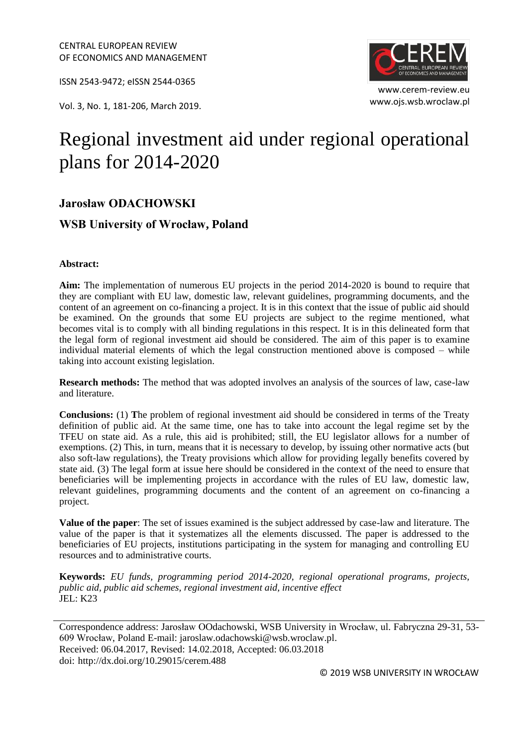ISSN 2543-9472; eISSN 2544-0365

www.ojs.wsb.wroclaw.pl Vol. 3, No. 1, 181-206, March 2019.



www.cerem-review.eu

# Regional investment aid under regional operational plans for 2014-2020

## **Jarosław ODACHOWSKI**

### **WSB University of Wrocław, Poland**

#### **Abstract:**

**Aim:** The implementation of numerous EU projects in the period 2014-2020 is bound to require that they are compliant with EU law, domestic law, relevant guidelines, programming documents, and the content of an agreement on co-financing a project. It is in this context that the issue of public aid should be examined. On the grounds that some EU projects are subject to the regime mentioned, what becomes vital is to comply with all binding regulations in this respect. It is in this delineated form that the legal form of regional investment aid should be considered. The aim of this paper is to examine individual material elements of which the legal construction mentioned above is composed – while taking into account existing legislation.

**Research methods:** The method that was adopted involves an analysis of the sources of law, case-law and literature.

**Conclusions:** (1) **T**he problem of regional investment aid should be considered in terms of the Treaty definition of public aid. At the same time, one has to take into account the legal regime set by the TFEU on state aid. As a rule, this aid is prohibited; still, the EU legislator allows for a number of exemptions. (2) This, in turn, means that it is necessary to develop, by issuing other normative acts (but also soft-law regulations), the Treaty provisions which allow for providing legally benefits covered by state aid. (3) The legal form at issue here should be considered in the context of the need to ensure that beneficiaries will be implementing projects in accordance with the rules of EU law, domestic law, relevant guidelines, programming documents and the content of an agreement on co-financing a project.

**Value of the paper**: The set of issues examined is the subject addressed by case-law and literature. The value of the paper is that it systematizes all the elements discussed. The paper is addressed to the beneficiaries of EU projects, institutions participating in the system for managing and controlling EU resources and to administrative courts.

**Keywords:** *EU funds, programming period 2014-2020, regional operational programs, projects, public aid, public aid schemes, regional investment aid, incentive effect* JEL: K23

Correspondence address: Jarosław OOdachowski, WSB University in Wrocław, ul. Fabryczna 29-31, 53- 609 Wrocław, Poland E-mail: jaroslaw.odachowski@wsb.wroclaw.pl. Received: 06.04.2017, Revised: 14.02.2018, Accepted: 06.03.2018 doi: http://dx.doi.org/10.29015/cerem.488

© 2019 WSB UNIVERSITY IN WROCŁAW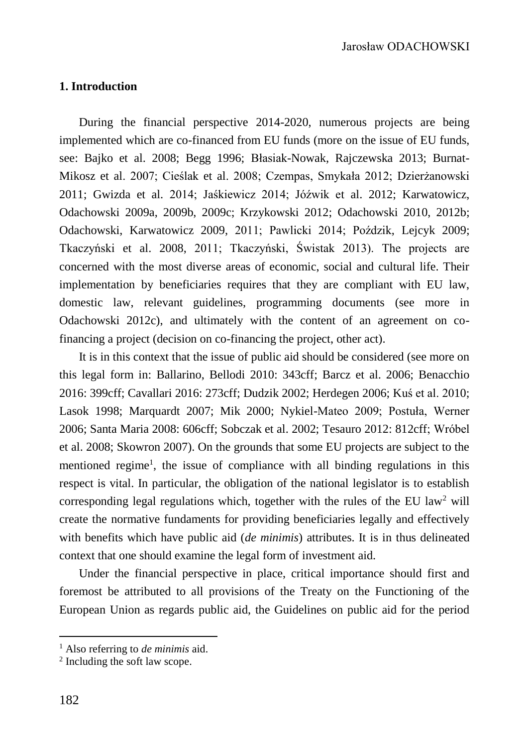## **1. Introduction**

During the financial perspective 2014-2020, numerous projects are being implemented which are co-financed from EU funds (more on the issue of EU funds, see: Bajko et al. 2008; Begg 1996; Błasiak-Nowak, Rajczewska 2013; Burnat-Mikosz et al. 2007; Cieślak et al. 2008; Czempas, Smykała 2012; Dzierżanowski 2011; Gwizda et al. 2014; Jaśkiewicz 2014; Jóźwik et al. 2012; Karwatowicz, Odachowski 2009a, 2009b, 2009c; Krzykowski 2012; Odachowski 2010, 2012b; Odachowski, Karwatowicz 2009, 2011; Pawlicki 2014; Poździk, Lejcyk 2009; Tkaczyński et al. 2008, 2011; Tkaczyński, Świstak 2013). The projects are concerned with the most diverse areas of economic, social and cultural life. Their implementation by beneficiaries requires that they are compliant with EU law, domestic law, relevant guidelines, programming documents (see more in Odachowski 2012c), and ultimately with the content of an agreement on cofinancing a project (decision on co-financing the project, other act).

It is in this context that the issue of public aid should be considered (see more on this legal form in: Ballarino, Bellodi 2010: 343cff; Barcz et al. 2006; Benacchio 2016: 399cff; Cavallari 2016: 273cff; Dudzik 2002; Herdegen 2006; Kuś et al. 2010; Lasok 1998; Marquardt 2007; Mik 2000; Nykiel-Mateo 2009; Postuła, Werner 2006; Santa Maria 2008: 606cff; Sobczak et al. 2002; Tesauro 2012: 812cff; Wróbel et al. 2008; Skowron 2007). On the grounds that some EU projects are subject to the mentioned regime<sup>1</sup>, the issue of compliance with all binding regulations in this respect is vital. In particular, the obligation of the national legislator is to establish corresponding legal regulations which, together with the rules of the EU law<sup>2</sup> will create the normative fundaments for providing beneficiaries legally and effectively with benefits which have public aid (*de minimis*) attributes. It is in thus delineated context that one should examine the legal form of investment aid.

Under the financial perspective in place, critical importance should first and foremost be attributed to all provisions of the Treaty on the Functioning of the European Union as regards public aid, the Guidelines on public aid for the period

<sup>1</sup> Also referring to *de minimis* aid.

<sup>2</sup> Including the soft law scope.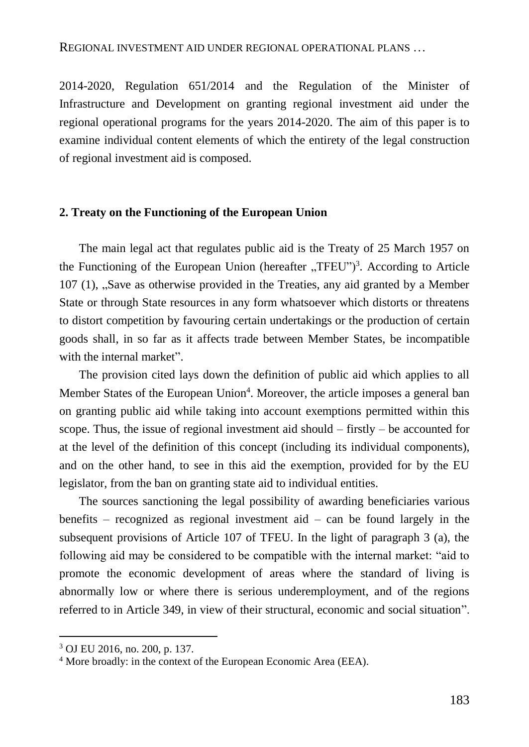2014-2020, Regulation 651/2014 and the Regulation of the Minister of Infrastructure and Development on granting regional investment aid under the regional operational programs for the years 2014-2020. The aim of this paper is to examine individual content elements of which the entirety of the legal construction of regional investment aid is composed.

### **2. Treaty on the Functioning of the European Union**

The main legal act that regulates public aid is the Treaty of 25 March 1957 on the Functioning of the European Union (hereafter "TFEU")<sup>3</sup>. According to Article 107 (1), "Save as otherwise provided in the Treaties, any aid granted by a Member State or through State resources in any form whatsoever which distorts or threatens to distort competition by favouring certain undertakings or the production of certain goods shall, in so far as it affects trade between Member States, be incompatible with the internal market".

The provision cited lays down the definition of public aid which applies to all Member States of the European Union<sup>4</sup>. Moreover, the article imposes a general ban on granting public aid while taking into account exemptions permitted within this scope. Thus, the issue of regional investment aid should  $-$  firstly  $-$  be accounted for at the level of the definition of this concept (including its individual components), and on the other hand, to see in this aid the exemption, provided for by the EU legislator, from the ban on granting state aid to individual entities.

The sources sanctioning the legal possibility of awarding beneficiaries various benefits – recognized as regional investment aid – can be found largely in the subsequent provisions of Article 107 of TFEU. In the light of paragraph 3 (a), the following aid may be considered to be compatible with the internal market: "aid to promote the economic development of areas where the standard of living is abnormally low or where there is serious underemployment, and of the regions referred to in Article 349, in view of their structural, economic and social situation".

<sup>3</sup> OJ EU 2016, no. 200, p. 137.

<sup>4</sup> More broadly: in the context of the European Economic Area (EEA).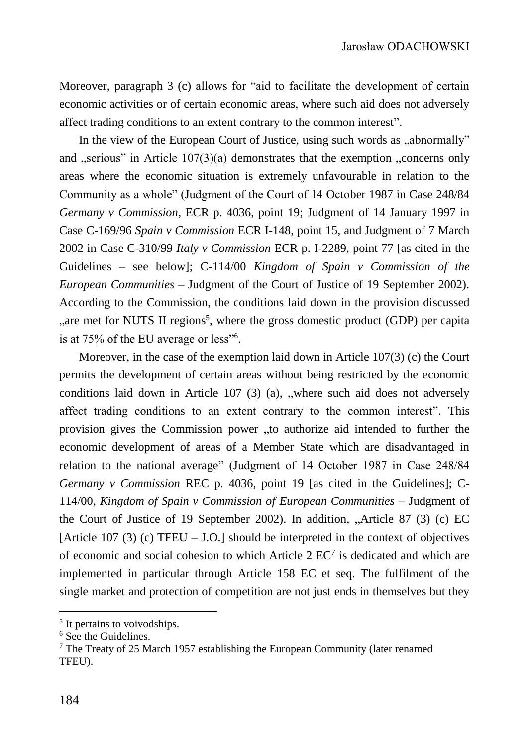Moreover, paragraph 3 (c) allows for "aid to facilitate the development of certain economic activities or of certain economic areas, where such aid does not adversely affect trading conditions to an extent contrary to the common interest".

In the view of the European Court of Justice, using such words as "abnormally" and  $\alpha$ , serious" in Article 107(3)(a) demonstrates that the exemption  $\alpha$ , concerns only areas where the economic situation is extremely unfavourable in relation to the Community as a whole" (Judgment of the Court of 14 October 1987 in Case 248/84 *Germany v Commission*, ECR p. 4036, point 19; Judgment of 14 January 1997 in Case C-169/96 *Spain v Commission* ECR I-148, point 15, and Judgment of 7 March 2002 in Case C-310/99 *Italy v Commission* ECR p. I-2289, point 77 [as cited in the Guidelines – see below]; C-114/00 *Kingdom of Spain v Commission of the European Communities* – Judgment of the Court of Justice of 19 September 2002). According to the Commission, the conditions laid down in the provision discussed "are met for NUTS II regions<sup>5</sup>, where the gross domestic product (GDP) per capita is at 75% of the EU average or less"<sup>6</sup>.

Moreover, in the case of the exemption laid down in Article 107(3) (c) the Court permits the development of certain areas without being restricted by the economic conditions laid down in Article  $107$  (3) (a), "where such aid does not adversely affect trading conditions to an extent contrary to the common interest". This provision gives the Commission power "to authorize aid intended to further the economic development of areas of a Member State which are disadvantaged in relation to the national average" (Judgment of 14 October 1987 in Case 248/84 *Germany v Commission* REC p. 4036, point 19 [as cited in the Guidelines]; C-114/00, *Kingdom of Spain v Commission of European Communities* – Judgment of the Court of Justice of 19 September 2002). In addition,  $\Lambda$ rticle 87 (3) (c) EC [Article 107 (3) (c) TFEU – J.O.] should be interpreted in the context of objectives of economic and social cohesion to which Article  $2 \text{ EC}^7$  is dedicated and which are implemented in particular through Article 158 EC et seq. The fulfilment of the single market and protection of competition are not just ends in themselves but they

<sup>&</sup>lt;sup>5</sup> It pertains to voivodships.

<sup>6</sup> See the Guidelines.

 $7$  The Treaty of 25 March 1957 establishing the European Community (later renamed TFEU).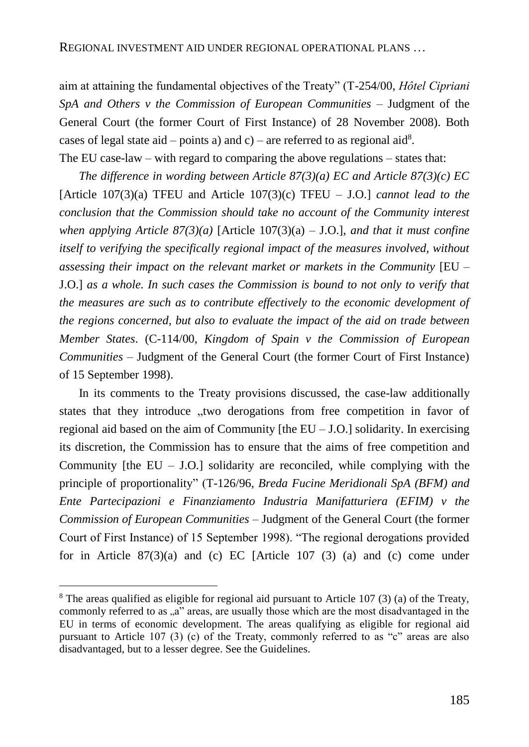aim at attaining the fundamental objectives of the Treaty" (T-254/00, *Hôtel Cipriani SpA and Others v the Commission of European Communities* – Judgment of the General Court (the former Court of First Instance) of 28 November 2008). Both cases of legal state aid – points a) and c) – are referred to as regional aid<sup>8</sup>.

The EU case-law – with regard to comparing the above regulations – states that:

*The difference in wording between Article 87(3)(a) EC and Article 87(3)(c) EC*  [Article 107(3)(a) TFEU and Article 107(3)(c) TFEU – J.O.] *cannot lead to the conclusion that the Commission should take no account of the Community interest when applying Article 87(3)(a)* [Article 107(3)(a) – J.O.], *and that it must confine itself to verifying the specifically regional impact of the measures involved, without assessing their impact on the relevant market or markets in the Community* [EU – J.O.] *as a whole. In such cases the Commission is bound to not only to verify that the measures are such as to contribute effectively to the economic development of the regions concerned, but also to evaluate the impact of the aid on trade between Member States*. (C-114/00, *Kingdom of Spain v the Commission of European Communities –* Judgment of the General Court (the former Court of First Instance) of 15 September 1998).

In its comments to the Treaty provisions discussed, the case-law additionally states that they introduce "two derogations from free competition in favor of regional aid based on the aim of Community [the EU – J.O.] solidarity. In exercising its discretion, the Commission has to ensure that the aims of free competition and Community [the  $EU - J.O.$ ] solidarity are reconciled, while complying with the principle of proportionality" (T-126/96, *Breda Fucine Meridionali SpA (BFM) and Ente Partecipazioni e Finanziamento Industria Manifatturiera (EFIM) v the Commission of European Communities* – Judgment of the General Court (the former Court of First Instance) of 15 September 1998). "The regional derogations provided for in Article  $87(3)(a)$  and (c) EC [Article 107 (3) (a) and (c) come under

<sup>&</sup>lt;sup>8</sup> The areas qualified as eligible for regional aid pursuant to Article 107 (3) (a) of the Treaty, commonly referred to as "a" areas, are usually those which are the most disadvantaged in the EU in terms of economic development. The areas qualifying as eligible for regional aid pursuant to Article 107 (3) (c) of the Treaty, commonly referred to as "c" areas are also disadvantaged, but to a lesser degree. See the Guidelines.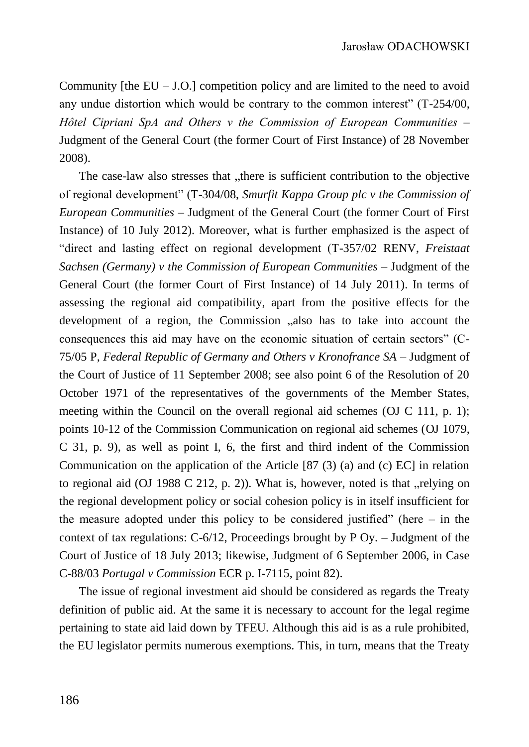Community [the  $EU - J.O.$ ] competition policy and are limited to the need to avoid any undue distortion which would be contrary to the common interest" (T-254/00, *Hôtel Cipriani SpA and Others v the Commission of European Communities* – Judgment of the General Court (the former Court of First Instance) of 28 November 2008).

The case-law also stresses that "there is sufficient contribution to the objective of regional development" (T-304/08, *Smurfit Kappa Group plc v the Commission of European Communities* – Judgment of the General Court (the former Court of First Instance) of 10 July 2012). Moreover, what is further emphasized is the aspect of "direct and lasting effect on regional development (T-357/02 RENV, *Freistaat Sachsen (Germany) v the Commission of European Communities* – Judgment of the General Court (the former Court of First Instance) of 14 July 2011). In terms of assessing the regional aid compatibility, apart from the positive effects for the development of a region, the Commission  $\alpha$ , also has to take into account the consequences this aid may have on the economic situation of certain sectors" (C-75/05 P, *Federal Republic of Germany and Others v Kronofrance SA* – Judgment of the Court of Justice of 11 September 2008; see also point 6 of the Resolution of 20 October 1971 of the representatives of the governments of the Member States, meeting within the Council on the overall regional aid schemes (OJ C 111, p. 1); points 10-12 of the Commission Communication on regional aid schemes (OJ 1079, C 31, p. 9), as well as point I, 6, the first and third indent of the Commission Communication on the application of the Article [87 (3) (a) and (c) EC] in relation to regional aid (OJ 1988 C 212, p. 2)). What is, however, noted is that  $\alpha$ -relying on the regional development policy or social cohesion policy is in itself insufficient for the measure adopted under this policy to be considered justified" (here  $-$  in the context of tax regulations: C-6/12, Proceedings brought by P Oy. – Judgment of the Court of Justice of 18 July 2013; likewise, Judgment of 6 September 2006, in Case C-88/03 *Portugal v Commission* ECR p. I-7115, point 82).

The issue of regional investment aid should be considered as regards the Treaty definition of public aid. At the same it is necessary to account for the legal regime pertaining to state aid laid down by TFEU. Although this aid is as a rule prohibited, the EU legislator permits numerous exemptions. This, in turn, means that the Treaty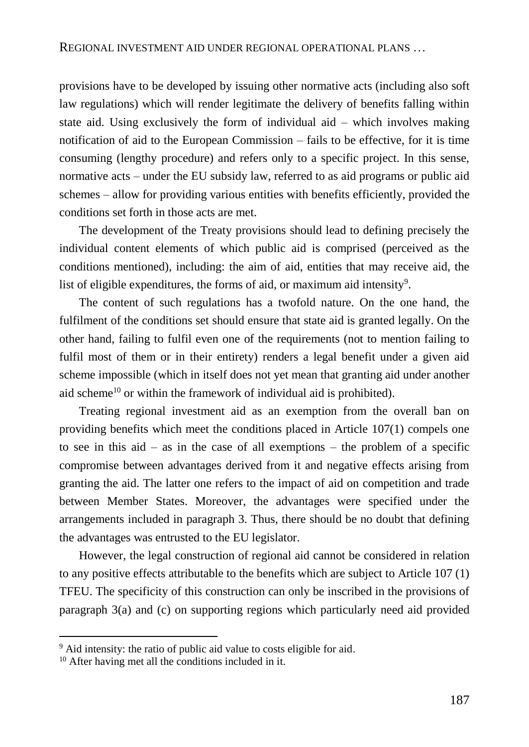provisions have to be developed by issuing other normative acts (including also soft law regulations) which will render legitimate the delivery of benefits falling within state aid. Using exclusively the form of individual aid – which involves making notification of aid to the European Commission – fails to be effective, for it is time consuming (lengthy procedure) and refers only to a specific project. In this sense, normative acts – under the EU subsidy law, referred to as aid programs or public aid schemes – allow for providing various entities with benefits efficiently, provided the conditions set forth in those acts are met.

The development of the Treaty provisions should lead to defining precisely the individual content elements of which public aid is comprised (perceived as the conditions mentioned), including: the aim of aid, entities that may receive aid, the list of eligible expenditures, the forms of aid, or maximum aid intensity<sup>9</sup>.

The content of such regulations has a twofold nature. On the one hand, the fulfilment of the conditions set should ensure that state aid is granted legally. On the other hand, failing to fulfil even one of the requirements (not to mention failing to fulfil most of them or in their entirety) renders a legal benefit under a given aid scheme impossible (which in itself does not yet mean that granting aid under another aid scheme<sup>10</sup> or within the framework of individual aid is prohibited).

Treating regional investment aid as an exemption from the overall ban on providing benefits which meet the conditions placed in Article 107(1) compels one to see in this  $aid - as$  in the case of all exemptions – the problem of a specific compromise between advantages derived from it and negative effects arising from granting the aid. The latter one refers to the impact of aid on competition and trade between Member States. Moreover, the advantages were specified under the arrangements included in paragraph 3. Thus, there should be no doubt that defining the advantages was entrusted to the EU legislator.

However, the legal construction of regional aid cannot be considered in relation to any positive effects attributable to the benefits which are subject to Article 107 (1) TFEU. The specificity of this construction can only be inscribed in the provisions of paragraph 3(a) and (c) on supporting regions which particularly need aid provided

<sup>&</sup>lt;sup>9</sup> Aid intensity: the ratio of public aid value to costs eligible for aid.

<sup>&</sup>lt;sup>10</sup> After having met all the conditions included in it.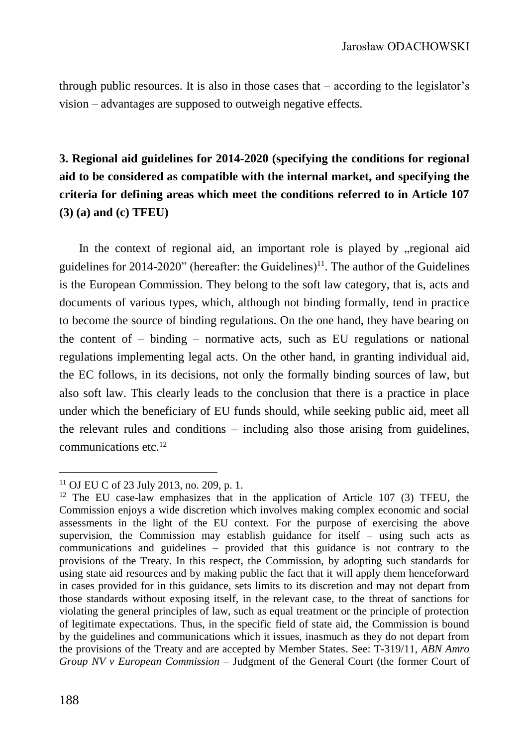through public resources. It is also in those cases that – according to the legislator's vision – advantages are supposed to outweigh negative effects.

# **3. Regional aid guidelines for 2014-2020 (specifying the conditions for regional aid to be considered as compatible with the internal market, and specifying the criteria for defining areas which meet the conditions referred to in Article 107 (3) (a) and (c) TFEU)**

In the context of regional aid, an important role is played by "regional aid guidelines for  $2014-2020$ " (hereafter: the Guidelines)<sup>11</sup>. The author of the Guidelines is the European Commission. They belong to the soft law category, that is, acts and documents of various types, which, although not binding formally, tend in practice to become the source of binding regulations. On the one hand, they have bearing on the content of – binding – normative acts, such as EU regulations or national regulations implementing legal acts. On the other hand, in granting individual aid, the EC follows, in its decisions, not only the formally binding sources of law, but also soft law. This clearly leads to the conclusion that there is a practice in place under which the beneficiary of EU funds should, while seeking public aid, meet all the relevant rules and conditions – including also those arising from guidelines, communications etc.<sup>12</sup>

<sup>11</sup> OJ EU C of 23 July 2013, no. 209, p. 1.

 $12$  The EU case-law emphasizes that in the application of Article 107 (3) TFEU, the Commission enjoys a wide discretion which involves making complex economic and social assessments in the light of the EU context. For the purpose of exercising the above supervision, the Commission may establish guidance for itself – using such acts as communications and guidelines – provided that this guidance is not contrary to the provisions of the Treaty. In this respect, the Commission, by adopting such standards for using state aid resources and by making public the fact that it will apply them henceforward in cases provided for in this guidance, sets limits to its discretion and may not depart from those standards without exposing itself, in the relevant case, to the threat of sanctions for violating the general principles of law, such as equal treatment or the principle of protection of legitimate expectations. Thus, in the specific field of state aid, the Commission is bound by the guidelines and communications which it issues, inasmuch as they do not depart from the provisions of the Treaty and are accepted by Member States. See: T-319/11, *ABN Amro Group NV v European Commission* – Judgment of the General Court (the former Court of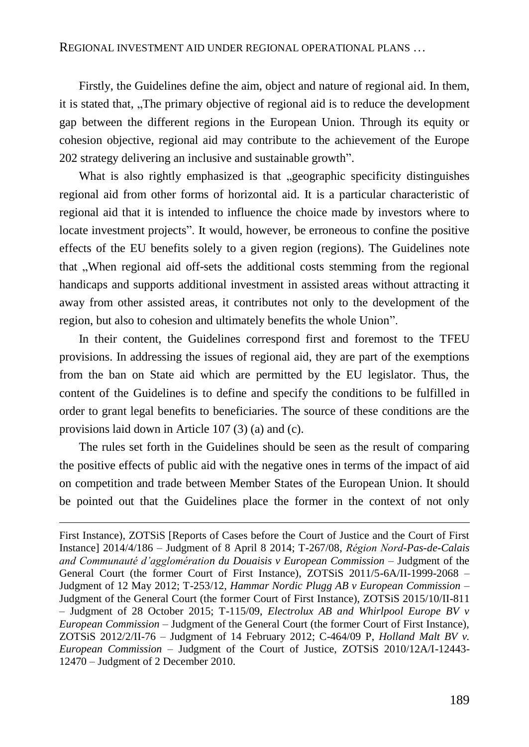Firstly, the Guidelines define the aim, object and nature of regional aid. In them, it is stated that, "The primary objective of regional aid is to reduce the development gap between the different regions in the European Union. Through its equity or cohesion objective, regional aid may contribute to the achievement of the Europe 202 strategy delivering an inclusive and sustainable growth".

What is also rightly emphasized is that "geographic specificity distinguishes regional aid from other forms of horizontal aid. It is a particular characteristic of regional aid that it is intended to influence the choice made by investors where to locate investment projects". It would, however, be erroneous to confine the positive effects of the EU benefits solely to a given region (regions). The Guidelines note that ...When regional aid off-sets the additional costs stemming from the regional handicaps and supports additional investment in assisted areas without attracting it away from other assisted areas, it contributes not only to the development of the region, but also to cohesion and ultimately benefits the whole Union".

In their content, the Guidelines correspond first and foremost to the TFEU provisions. In addressing the issues of regional aid, they are part of the exemptions from the ban on State aid which are permitted by the EU legislator. Thus, the content of the Guidelines is to define and specify the conditions to be fulfilled in order to grant legal benefits to beneficiaries. The source of these conditions are the provisions laid down in Article 107 (3) (a) and (c).

The rules set forth in the Guidelines should be seen as the result of comparing the positive effects of public aid with the negative ones in terms of the impact of aid on competition and trade between Member States of the European Union. It should be pointed out that the Guidelines place the former in the context of not only

First Instance), ZOTSiS [Reports of Cases before the Court of Justice and the Court of First Instance] 2014/4/186 – Judgment of 8 April 8 2014; T-267/08, *Région Nord-Pas-de-Calais and Communauté d'agglomération du Douaisis v European Commission* – Judgment of the General Court (the former Court of First Instance), ZOTSiS 2011/5-6A/II-1999-2068 – Judgment of 12 May 2012; T-253/12, *Hammar Nordic Plugg AB v European Commission –* Judgment of the General Court (the former Court of First Instance), ZOTSiS 2015/10/II-811 – Judgment of 28 October 2015; T-115/09, *Electrolux AB and Whirlpool Europe BV v European Commission* – Judgment of the General Court (the former Court of First Instance), ZOTSiS 2012/2/II-76 – Judgment of 14 February 2012; C-464/09 P, *Holland Malt BV v. European Commission* – Judgment of the Court of Justice, ZOTSiS 2010/12A/I-12443- 12470 – Judgment of 2 December 2010.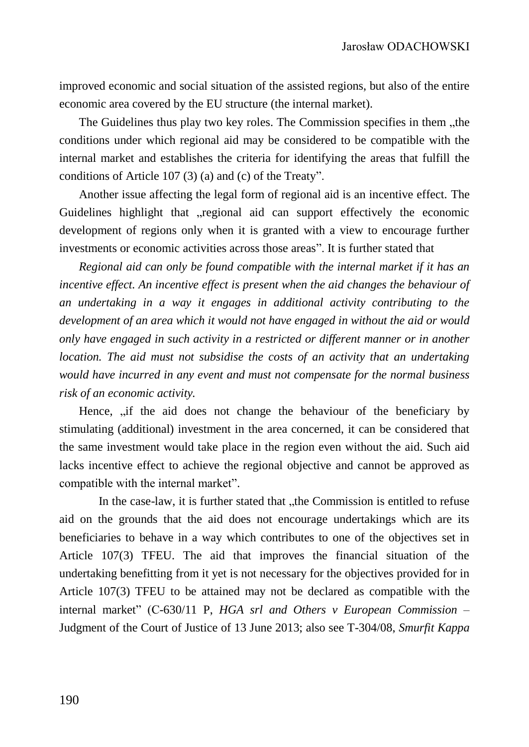improved economic and social situation of the assisted regions, but also of the entire economic area covered by the EU structure (the internal market).

The Guidelines thus play two key roles. The Commission specifies in them "the conditions under which regional aid may be considered to be compatible with the internal market and establishes the criteria for identifying the areas that fulfill the conditions of Article 107 (3) (a) and (c) of the Treaty".

Another issue affecting the legal form of regional aid is an incentive effect. The Guidelines highlight that regional aid can support effectively the economic development of regions only when it is granted with a view to encourage further investments or economic activities across those areas". It is further stated that

*Regional aid can only be found compatible with the internal market if it has an incentive effect. An incentive effect is present when the aid changes the behaviour of an undertaking in a way it engages in additional activity contributing to the development of an area which it would not have engaged in without the aid or would only have engaged in such activity in a restricted or different manner or in another location. The aid must not subsidise the costs of an activity that an undertaking would have incurred in any event and must not compensate for the normal business risk of an economic activity.*

Hence,  $\mu$  if the aid does not change the behaviour of the beneficiary by stimulating (additional) investment in the area concerned, it can be considered that the same investment would take place in the region even without the aid. Such aid lacks incentive effect to achieve the regional objective and cannot be approved as compatible with the internal market".

In the case-law, it is further stated that "the Commission is entitled to refuse aid on the grounds that the aid does not encourage undertakings which are its beneficiaries to behave in a way which contributes to one of the objectives set in Article 107(3) TFEU. The aid that improves the financial situation of the undertaking benefitting from it yet is not necessary for the objectives provided for in Article 107(3) TFEU to be attained may not be declared as compatible with the internal market" (C-630/11 P, *HGA srl and Others v European Commission* – Judgment of the Court of Justice of 13 June 2013; also see T-304/08, *Smurfit Kappa*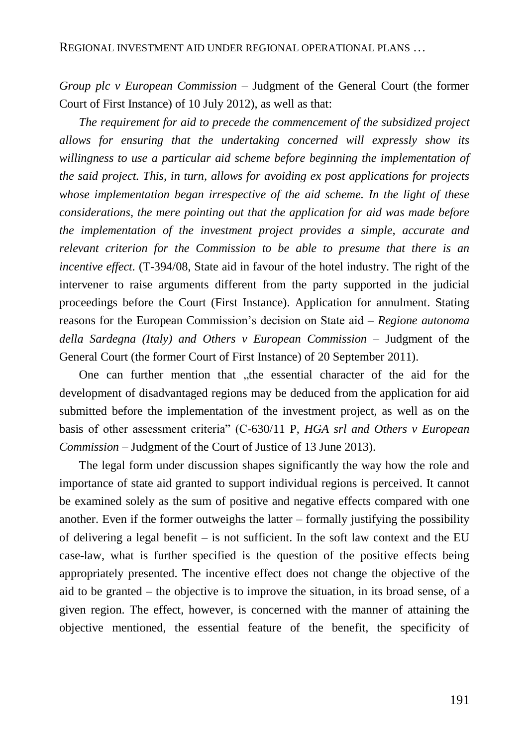*Group plc v European Commission* – Judgment of the General Court (the former Court of First Instance) of 10 July 2012), as well as that:

*The requirement for aid to precede the commencement of the subsidized project allows for ensuring that the undertaking concerned will expressly show its*  willingness to use a particular aid scheme before beginning the implementation of *the said project. This, in turn, allows for avoiding ex post applications for projects whose implementation began irrespective of the aid scheme. In the light of these considerations, the mere pointing out that the application for aid was made before the implementation of the investment project provides a simple, accurate and relevant criterion for the Commission to be able to presume that there is an incentive effect.* (T-394/08, State aid in favour of the hotel industry. The right of the intervener to raise arguments different from the party supported in the judicial proceedings before the Court (First Instance). Application for annulment. Stating reasons for the European Commission's decision on State aid – *Regione autonoma della Sardegna (Italy) and Others v European Commission* – Judgment of the General Court (the former Court of First Instance) of 20 September 2011).

One can further mention that "the essential character of the aid for the development of disadvantaged regions may be deduced from the application for aid submitted before the implementation of the investment project, as well as on the basis of other assessment criteria" (C-630/11 P, *HGA srl and Others v European Commission* – Judgment of the Court of Justice of 13 June 2013).

The legal form under discussion shapes significantly the way how the role and importance of state aid granted to support individual regions is perceived. It cannot be examined solely as the sum of positive and negative effects compared with one another. Even if the former outweighs the latter – formally justifying the possibility of delivering a legal benefit – is not sufficient. In the soft law context and the EU case-law, what is further specified is the question of the positive effects being appropriately presented. The incentive effect does not change the objective of the aid to be granted – the objective is to improve the situation, in its broad sense, of a given region. The effect, however, is concerned with the manner of attaining the objective mentioned, the essential feature of the benefit, the specificity of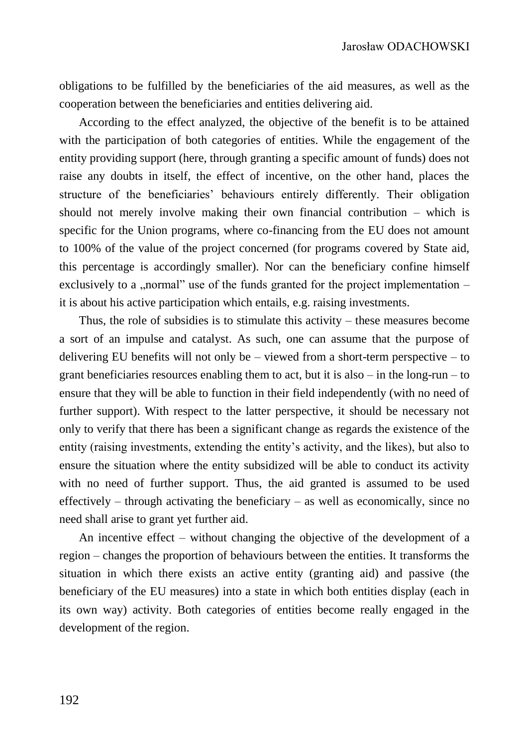obligations to be fulfilled by the beneficiaries of the aid measures, as well as the cooperation between the beneficiaries and entities delivering aid.

According to the effect analyzed, the objective of the benefit is to be attained with the participation of both categories of entities. While the engagement of the entity providing support (here, through granting a specific amount of funds) does not raise any doubts in itself, the effect of incentive, on the other hand, places the structure of the beneficiaries' behaviours entirely differently. Their obligation should not merely involve making their own financial contribution – which is specific for the Union programs, where co-financing from the EU does not amount to 100% of the value of the project concerned (for programs covered by State aid, this percentage is accordingly smaller). Nor can the beneficiary confine himself exclusively to a "normal" use of the funds granted for the project implementation  $$ it is about his active participation which entails, e.g. raising investments.

Thus, the role of subsidies is to stimulate this activity – these measures become a sort of an impulse and catalyst. As such, one can assume that the purpose of delivering EU benefits will not only be  $-$  viewed from a short-term perspective  $-$  to grant beneficiaries resources enabling them to act, but it is also – in the long-run – to ensure that they will be able to function in their field independently (with no need of further support). With respect to the latter perspective, it should be necessary not only to verify that there has been a significant change as regards the existence of the entity (raising investments, extending the entity's activity, and the likes), but also to ensure the situation where the entity subsidized will be able to conduct its activity with no need of further support. Thus, the aid granted is assumed to be used effectively – through activating the beneficiary – as well as economically, since no need shall arise to grant yet further aid.

An incentive effect – without changing the objective of the development of a region – changes the proportion of behaviours between the entities. It transforms the situation in which there exists an active entity (granting aid) and passive (the beneficiary of the EU measures) into a state in which both entities display (each in its own way) activity. Both categories of entities become really engaged in the development of the region.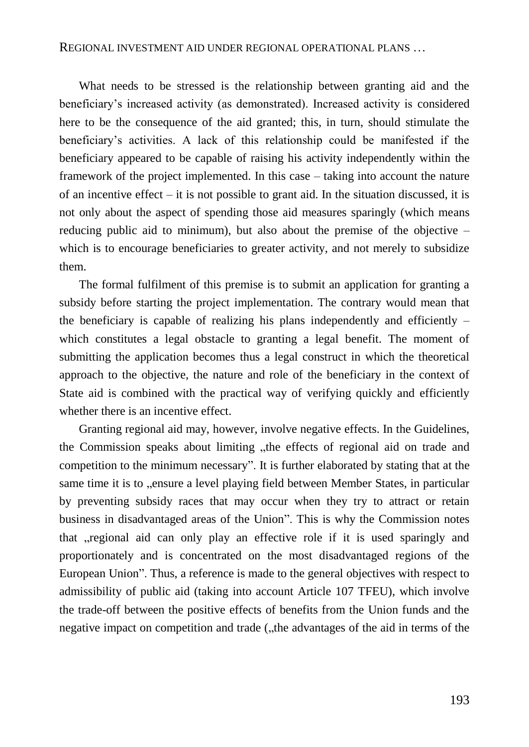What needs to be stressed is the relationship between granting aid and the beneficiary's increased activity (as demonstrated). Increased activity is considered here to be the consequence of the aid granted; this, in turn, should stimulate the beneficiary's activities. A lack of this relationship could be manifested if the beneficiary appeared to be capable of raising his activity independently within the framework of the project implemented. In this case – taking into account the nature of an incentive effect  $-$  it is not possible to grant aid. In the situation discussed, it is not only about the aspect of spending those aid measures sparingly (which means reducing public aid to minimum), but also about the premise of the objective – which is to encourage beneficiaries to greater activity, and not merely to subsidize them.

The formal fulfilment of this premise is to submit an application for granting a subsidy before starting the project implementation. The contrary would mean that the beneficiary is capable of realizing his plans independently and efficiently – which constitutes a legal obstacle to granting a legal benefit. The moment of submitting the application becomes thus a legal construct in which the theoretical approach to the objective, the nature and role of the beneficiary in the context of State aid is combined with the practical way of verifying quickly and efficiently whether there is an incentive effect.

Granting regional aid may, however, involve negative effects. In the Guidelines, the Commission speaks about limiting "the effects of regional aid on trade and competition to the minimum necessary". It is further elaborated by stating that at the same time it is to "ensure a level playing field between Member States, in particular by preventing subsidy races that may occur when they try to attract or retain business in disadvantaged areas of the Union". This is why the Commission notes that "regional aid can only play an effective role if it is used sparingly and proportionately and is concentrated on the most disadvantaged regions of the European Union". Thus, a reference is made to the general objectives with respect to admissibility of public aid (taking into account Article 107 TFEU), which involve the trade-off between the positive effects of benefits from the Union funds and the negative impact on competition and trade ("the advantages of the aid in terms of the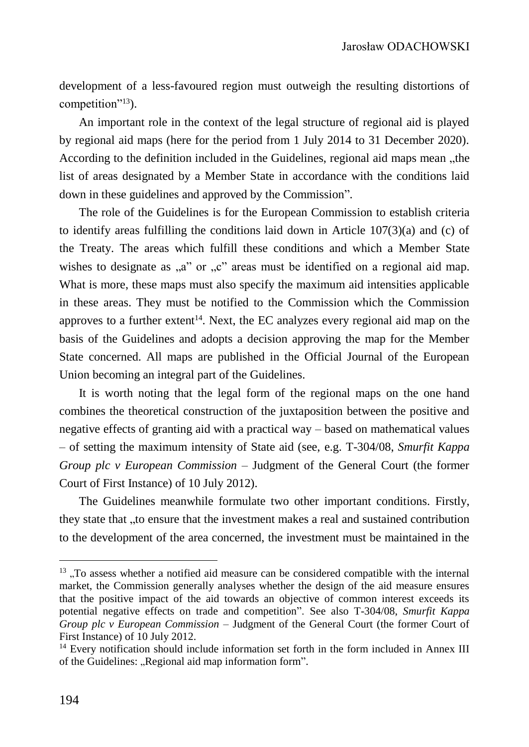development of a less-favoured region must outweigh the resulting distortions of competition"<sup>13</sup>).

An important role in the context of the legal structure of regional aid is played by regional aid maps (here for the period from 1 July 2014 to 31 December 2020). According to the definition included in the Guidelines, regional aid maps mean "the list of areas designated by a Member State in accordance with the conditions laid down in these guidelines and approved by the Commission".

The role of the Guidelines is for the European Commission to establish criteria to identify areas fulfilling the conditions laid down in Article  $107(3)(a)$  and (c) of the Treaty. The areas which fulfill these conditions and which a Member State wishes to designate as  $a^{\prime\prime}$  or  $b^{\prime\prime}$  areas must be identified on a regional aid map. What is more, these maps must also specify the maximum aid intensities applicable in these areas. They must be notified to the Commission which the Commission approves to a further extent<sup>14</sup>. Next, the EC analyzes every regional aid map on the basis of the Guidelines and adopts a decision approving the map for the Member State concerned. All maps are published in the Official Journal of the European Union becoming an integral part of the Guidelines.

It is worth noting that the legal form of the regional maps on the one hand combines the theoretical construction of the juxtaposition between the positive and negative effects of granting aid with a practical way – based on mathematical values – of setting the maximum intensity of State aid (see, e.g. T-304/08, *Smurfit Kappa Group plc v European Commission* – Judgment of the General Court (the former Court of First Instance) of 10 July 2012).

The Guidelines meanwhile formulate two other important conditions. Firstly, they state that "to ensure that the investment makes a real and sustained contribution to the development of the area concerned, the investment must be maintained in the

<sup>&</sup>lt;sup>13</sup>, To assess whether a notified aid measure can be considered compatible with the internal market, the Commission generally analyses whether the design of the aid measure ensures that the positive impact of the aid towards an objective of common interest exceeds its potential negative effects on trade and competition". See also T-304/08, *Smurfit Kappa Group plc v European Commission –* Judgment of the General Court (the former Court of First Instance) of 10 July 2012.

 $14$  Every notification should include information set forth in the form included in Annex III of the Guidelines: "Regional aid map information form".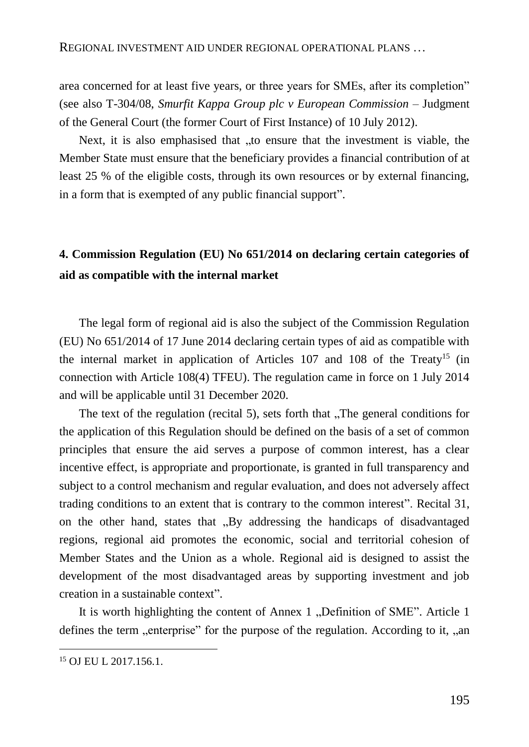area concerned for at least five years, or three years for SMEs, after its completion" (see also T-304/08, *Smurfit Kappa Group plc v European Commission* – Judgment of the General Court (the former Court of First Instance) of 10 July 2012).

Next, it is also emphasised that "to ensure that the investment is viable, the Member State must ensure that the beneficiary provides a financial contribution of at least 25 % of the eligible costs, through its own resources or by external financing, in a form that is exempted of any public financial support".

# **4. Commission Regulation (EU) No 651/2014 on declaring certain categories of aid as compatible with the internal market**

The legal form of regional aid is also the subject of the Commission Regulation (EU) No 651/2014 of 17 June 2014 declaring certain types of aid as compatible with the internal market in application of Articles  $107$  and  $108$  of the Treaty<sup>15</sup> (in connection with Article 108(4) TFEU). The regulation came in force on 1 July 2014 and will be applicable until 31 December 2020.

The text of the regulation (recital 5), sets forth that  $\sqrt{ }$ The general conditions for the application of this Regulation should be defined on the basis of a set of common principles that ensure the aid serves a purpose of common interest, has a clear incentive effect, is appropriate and proportionate, is granted in full transparency and subject to a control mechanism and regular evaluation, and does not adversely affect trading conditions to an extent that is contrary to the common interest". Recital 31, on the other hand, states that "By addressing the handicaps of disadvantaged" regions, regional aid promotes the economic, social and territorial cohesion of Member States and the Union as a whole. Regional aid is designed to assist the development of the most disadvantaged areas by supporting investment and job creation in a sustainable context".

It is worth highlighting the content of Annex 1, Definition of SME". Article 1 defines the term , enterprise" for the purpose of the regulation. According to it, , an

<sup>15</sup> OJ EU L 2017.156.1.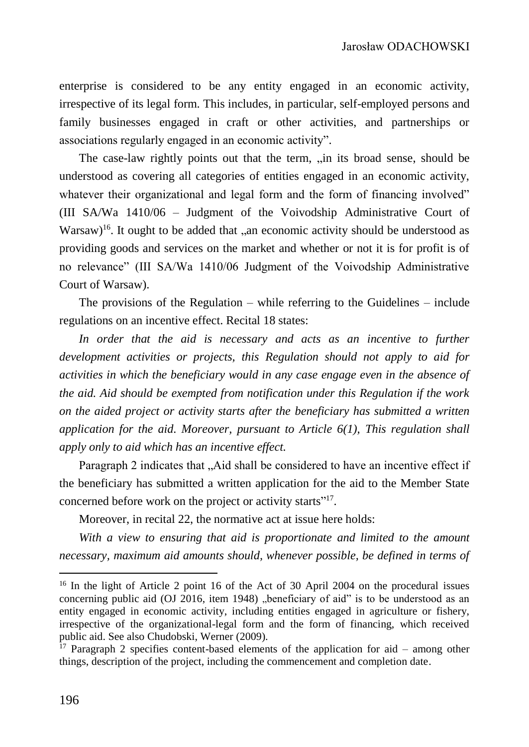enterprise is considered to be any entity engaged in an economic activity, irrespective of its legal form. This includes, in particular, self-employed persons and family businesses engaged in craft or other activities, and partnerships or associations regularly engaged in an economic activity".

The case-law rightly points out that the term, "in its broad sense, should be understood as covering all categories of entities engaged in an economic activity, whatever their organizational and legal form and the form of financing involved" (III SA/Wa 1410/06 – Judgment of the Voivodship Administrative Court of Warsaw)<sup>16</sup>. It ought to be added that "an economic activity should be understood as providing goods and services on the market and whether or not it is for profit is of no relevance" (III SA/Wa 1410/06 Judgment of the Voivodship Administrative Court of Warsaw).

The provisions of the Regulation – while referring to the Guidelines – include regulations on an incentive effect. Recital 18 states:

In order that the aid is necessary and acts as an incentive to further *development activities or projects, this Regulation should not apply to aid for activities in which the beneficiary would in any case engage even in the absence of the aid. Aid should be exempted from notification under this Regulation if the work on the aided project or activity starts after the beneficiary has submitted a written application for the aid. Moreover, pursuant to Article 6(1), This regulation shall apply only to aid which has an incentive effect.* 

Paragraph 2 indicates that "Aid shall be considered to have an incentive effect if the beneficiary has submitted a written application for the aid to the Member State concerned before work on the project or activity starts"<sup>17</sup>.

Moreover, in recital 22, the normative act at issue here holds:

*With a view to ensuring that aid is proportionate and limited to the amount necessary, maximum aid amounts should, whenever possible, be defined in terms of* 

<sup>&</sup>lt;sup>16</sup> In the light of Article 2 point 16 of the Act of 30 April 2004 on the procedural issues concerning public aid  $(OJ 2016$ , item 1948) "beneficiary of aid" is to be understood as an entity engaged in economic activity, including entities engaged in agriculture or fishery, irrespective of the organizational-legal form and the form of financing, which received public aid. See also Chudobski, Werner (2009).

<sup>&</sup>lt;sup>17</sup> Paragraph 2 specifies content-based elements of the application for aid – among other things, description of the project, including the commencement and completion date.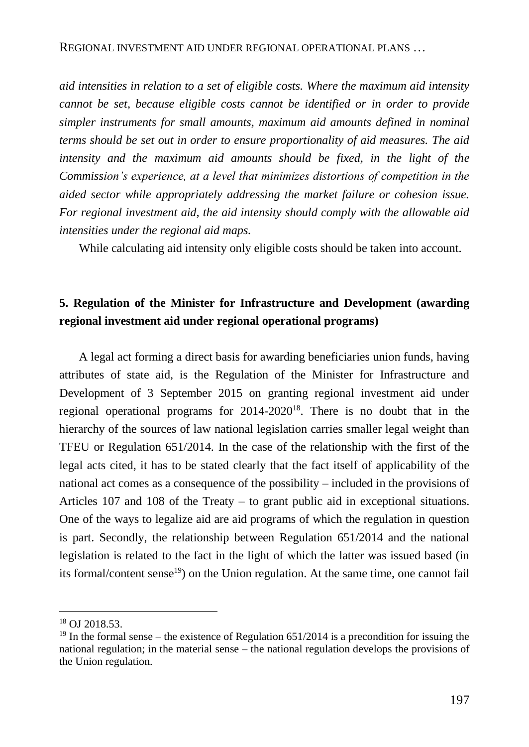*aid intensities in relation to a set of eligible costs. Where the maximum aid intensity cannot be set, because eligible costs cannot be identified or in order to provide simpler instruments for small amounts, maximum aid amounts defined in nominal terms should be set out in order to ensure proportionality of aid measures. The aid*  intensity and the maximum aid amounts should be fixed, in the light of the *Commission's experience, at a level that minimizes distortions of competition in the aided sector while appropriately addressing the market failure or cohesion issue. For regional investment aid, the aid intensity should comply with the allowable aid intensities under the regional aid maps.*

While calculating aid intensity only eligible costs should be taken into account.

# **5. Regulation of the Minister for Infrastructure and Development (awarding regional investment aid under regional operational programs)**

A legal act forming a direct basis for awarding beneficiaries union funds, having attributes of state aid, is the Regulation of the Minister for Infrastructure and Development of 3 September 2015 on granting regional investment aid under regional operational programs for 2014-2020<sup>18</sup>. There is no doubt that in the hierarchy of the sources of law national legislation carries smaller legal weight than TFEU or Regulation 651/2014. In the case of the relationship with the first of the legal acts cited, it has to be stated clearly that the fact itself of applicability of the national act comes as a consequence of the possibility – included in the provisions of Articles 107 and 108 of the Treaty – to grant public aid in exceptional situations. One of the ways to legalize aid are aid programs of which the regulation in question is part. Secondly, the relationship between Regulation 651/2014 and the national legislation is related to the fact in the light of which the latter was issued based (in its formal/content sense<sup>19</sup>) on the Union regulation. At the same time, one cannot fail

<sup>18</sup> OJ 2018.53.

 $19$  In the formal sense – the existence of Regulation 651/2014 is a precondition for issuing the national regulation; in the material sense – the national regulation develops the provisions of the Union regulation.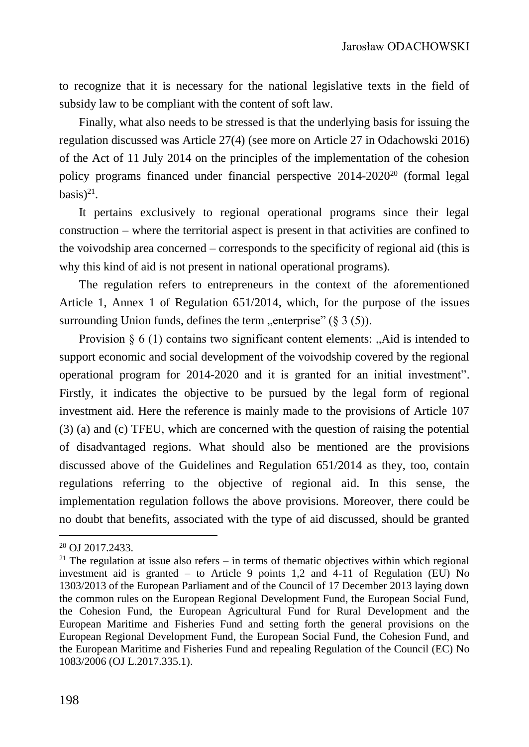to recognize that it is necessary for the national legislative texts in the field of subsidy law to be compliant with the content of soft law.

Finally, what also needs to be stressed is that the underlying basis for issuing the regulation discussed was Article 27(4) (see more on Article 27 in Odachowski 2016) of the Act of 11 July 2014 on the principles of the implementation of the cohesion policy programs financed under financial perspective 2014-2020<sup>20</sup> (formal legal  $basis$ <sup>21</sup>.

It pertains exclusively to regional operational programs since their legal construction – where the territorial aspect is present in that activities are confined to the voivodship area concerned – corresponds to the specificity of regional aid (this is why this kind of aid is not present in national operational programs).

The regulation refers to entrepreneurs in the context of the aforementioned Article 1, Annex 1 of Regulation 651/2014, which, for the purpose of the issues surrounding Union funds, defines the term "enterprise" ( $\S 3$  (5)).

Provision  $\S 6$  (1) contains two significant content elements: "Aid is intended to support economic and social development of the voivodship covered by the regional operational program for 2014-2020 and it is granted for an initial investment". Firstly, it indicates the objective to be pursued by the legal form of regional investment aid. Here the reference is mainly made to the provisions of Article 107 (3) (a) and (c) TFEU, which are concerned with the question of raising the potential of disadvantaged regions. What should also be mentioned are the provisions discussed above of the Guidelines and Regulation 651/2014 as they, too, contain regulations referring to the objective of regional aid. In this sense, the implementation regulation follows the above provisions. Moreover, there could be no doubt that benefits, associated with the type of aid discussed, should be granted

<sup>20</sup> OJ 2017.2433.

 $21$  The regulation at issue also refers – in terms of thematic objectives within which regional investment aid is granted – to Article 9 points 1,2 and 4-11 of Regulation (EU) No 1303/2013 of the European Parliament and of the Council of 17 December 2013 laying down the common rules on the European Regional Development Fund, the European Social Fund, the Cohesion Fund, the European Agricultural Fund for Rural Development and the European Maritime and Fisheries Fund and setting forth the general provisions on the European Regional Development Fund, the European Social Fund, the Cohesion Fund, and the European Maritime and Fisheries Fund and repealing Regulation of the Council (EC) No 1083/2006 (OJ L.2017.335.1).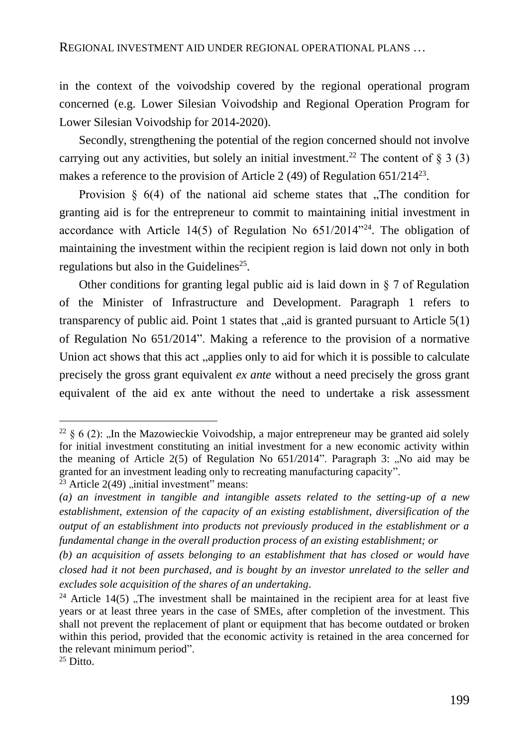in the context of the voivodship covered by the regional operational program concerned (e.g. Lower Silesian Voivodship and Regional Operation Program for Lower Silesian Voivodship for 2014-2020).

Secondly, strengthening the potential of the region concerned should not involve carrying out any activities, but solely an initial investment.<sup>22</sup> The content of  $\S$  3 (3) makes a reference to the provision of Article 2 (49) of Regulation 651/214<sup>23</sup>.

Provision  $\S$  6(4) of the national aid scheme states that . The condition for granting aid is for the entrepreneur to commit to maintaining initial investment in accordance with Article 14(5) of Regulation No  $651/2014$ <sup>24</sup>. The obligation of maintaining the investment within the recipient region is laid down not only in both regulations but also in the Guidelines<sup>25</sup>.

Other conditions for granting legal public aid is laid down in  $\S 7$  of Regulation of the Minister of Infrastructure and Development. Paragraph 1 refers to transparency of public aid. Point 1 states that  $\alpha$ , aid is granted pursuant to Article 5(1) of Regulation No 651/2014". Making a reference to the provision of a normative Union act shows that this act "applies only to aid for which it is possible to calculate precisely the gross grant equivalent *ex ante* without a need precisely the gross grant equivalent of the aid ex ante without the need to undertake a risk assessment

<sup>&</sup>lt;sup>22</sup> § 6 (2): "In the Mazowieckie Voivodship, a major entrepreneur may be granted aid solely for initial investment constituting an initial investment for a new economic activity within the meaning of Article  $2(5)$  of Regulation No  $651/2014$ ". Paragraph 3: "No aid may be granted for an investment leading only to recreating manufacturing capacity".

<sup>&</sup>lt;sup>23</sup> Article 2(49) "initial investment" means:

*<sup>(</sup>a) an investment in tangible and intangible assets related to the setting-up of a new establishment, extension of the capacity of an existing establishment, diversification of the output of an establishment into products not previously produced in the establishment or a fundamental change in the overall production process of an existing establishment; or*

*<sup>(</sup>b) an acquisition of assets belonging to an establishment that has closed or would have closed had it not been purchased, and is bought by an investor unrelated to the seller and excludes sole acquisition of the shares of an undertaking.*

<sup>&</sup>lt;sup>24</sup> Article 14(5), The investment shall be maintained in the recipient area for at least five years or at least three years in the case of SMEs, after completion of the investment. This shall not prevent the replacement of plant or equipment that has become outdated or broken within this period, provided that the economic activity is retained in the area concerned for the relevant minimum period".

 $25$  Ditto.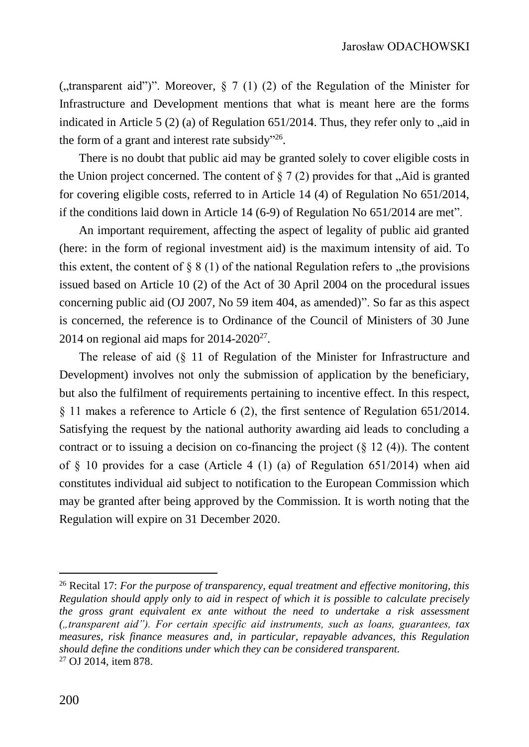("transparent aid")". Moreover,  $\frac{8}{7}$  (1) (2) of the Regulation of the Minister for Infrastructure and Development mentions that what is meant here are the forms indicated in Article 5 (2) (a) of Regulation  $651/2014$ . Thus, they refer only to  $\alpha$ , aid in the form of a grant and interest rate subsidy"<sup>26</sup>.

There is no doubt that public aid may be granted solely to cover eligible costs in the Union project concerned. The content of  $\S 7(2)$  provides for that  $\Lambda$  Aid is granted for covering eligible costs, referred to in Article 14 (4) of Regulation No 651/2014, if the conditions laid down in Article 14 (6-9) of Regulation No 651/2014 are met".

An important requirement, affecting the aspect of legality of public aid granted (here: in the form of regional investment aid) is the maximum intensity of aid. To this extent, the content of  $\S 8(1)$  of the national Regulation refers to , the provisions issued based on Article 10 (2) of the Act of 30 April 2004 on the procedural issues concerning public aid (OJ 2007, No 59 item 404, as amended)". So far as this aspect is concerned, the reference is to Ordinance of the Council of Ministers of 30 June 2014 on regional aid maps for  $2014-2020^{27}$ .

The release of aid (§ 11 of Regulation of the Minister for Infrastructure and Development) involves not only the submission of application by the beneficiary, but also the fulfilment of requirements pertaining to incentive effect. In this respect, § 11 makes a reference to Article 6 (2), the first sentence of Regulation 651/2014. Satisfying the request by the national authority awarding aid leads to concluding a contract or to issuing a decision on co-financing the project  $(\S 12 (4))$ . The content of  $\S$  10 provides for a case (Article 4 (1) (a) of Regulation 651/2014) when aid constitutes individual aid subject to notification to the European Commission which may be granted after being approved by the Commission. It is worth noting that the Regulation will expire on 31 December 2020.

<sup>26</sup> Recital 17: *For the purpose of transparency, equal treatment and effective monitoring, this Regulation should apply only to aid in respect of which it is possible to calculate precisely the gross grant equivalent ex ante without the need to undertake a risk assessment ("transparent aid"). For certain specific aid instruments, such as loans, guarantees, tax measures, risk finance measures and, in particular, repayable advances, this Regulation should define the conditions under which they can be considered transparent.* <sup>27</sup> OJ 2014, item 878.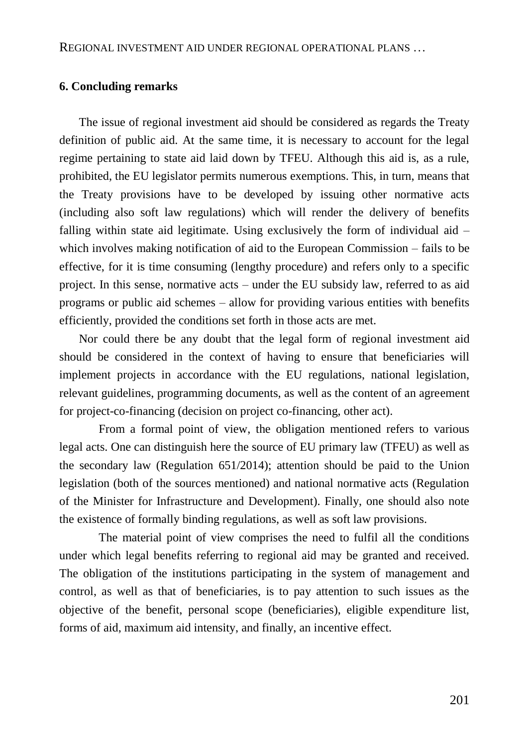### **6. Concluding remarks**

The issue of regional investment aid should be considered as regards the Treaty definition of public aid. At the same time, it is necessary to account for the legal regime pertaining to state aid laid down by TFEU. Although this aid is, as a rule, prohibited, the EU legislator permits numerous exemptions. This, in turn, means that the Treaty provisions have to be developed by issuing other normative acts (including also soft law regulations) which will render the delivery of benefits falling within state aid legitimate. Using exclusively the form of individual aid  $$ which involves making notification of aid to the European Commission – fails to be effective, for it is time consuming (lengthy procedure) and refers only to a specific project. In this sense, normative acts – under the EU subsidy law, referred to as aid programs or public aid schemes – allow for providing various entities with benefits efficiently, provided the conditions set forth in those acts are met.

Nor could there be any doubt that the legal form of regional investment aid should be considered in the context of having to ensure that beneficiaries will implement projects in accordance with the EU regulations, national legislation, relevant guidelines, programming documents, as well as the content of an agreement for project-co-financing (decision on project co-financing, other act).

From a formal point of view, the obligation mentioned refers to various legal acts. One can distinguish here the source of EU primary law (TFEU) as well as the secondary law (Regulation 651/2014); attention should be paid to the Union legislation (both of the sources mentioned) and national normative acts (Regulation of the Minister for Infrastructure and Development). Finally, one should also note the existence of formally binding regulations, as well as soft law provisions.

The material point of view comprises the need to fulfil all the conditions under which legal benefits referring to regional aid may be granted and received. The obligation of the institutions participating in the system of management and control, as well as that of beneficiaries, is to pay attention to such issues as the objective of the benefit, personal scope (beneficiaries), eligible expenditure list, forms of aid, maximum aid intensity, and finally, an incentive effect.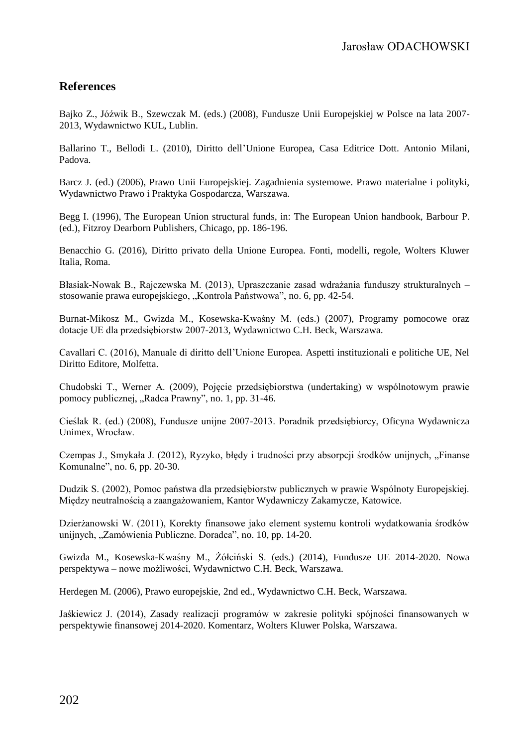## **References**

Bajko Z., Jóźwik B., Szewczak M. (eds.) (2008), Fundusze Unii Europejskiej w Polsce na lata 2007- 2013, Wydawnictwo KUL, Lublin.

Ballarino T., Bellodi L. (2010), Diritto dell'Unione Europea, Casa Editrice Dott. Antonio Milani, Padova.

Barcz J. (ed.) (2006), Prawo Unii Europejskiej. Zagadnienia systemowe. Prawo materialne i polityki, Wydawnictwo Prawo i Praktyka Gospodarcza, Warszawa.

Begg I. (1996), The European Union structural funds, in: The European Union handbook, Barbour P. (ed.), Fitzroy Dearborn Publishers, Chicago, pp. 186-196.

Benacchio G. (2016), Diritto privato della Unione Europea. Fonti, modelli, regole, Wolters Kluwer Italia, Roma.

Błasiak-Nowak B., Rajczewska M. (2013), Upraszczanie zasad wdrażania funduszy strukturalnych – stosowanie prawa europejskiego, "Kontrola Państwowa", no. 6, pp. 42-54.

Burnat-Mikosz M., Gwizda M., Kosewska-Kwaśny M. (eds.) (2007), Programy pomocowe oraz dotacje UE dla przedsiębiorstw 2007-2013, Wydawnictwo C.H. Beck, Warszawa.

Cavallari C. (2016), Manuale di diritto dell'Unione Europea. Aspetti instituzionali e politiche UE, Nel Diritto Editore, Molfetta.

Chudobski T., Werner A. (2009), Pojęcie przedsiębiorstwa (undertaking) w wspólnotowym prawie pomocy publicznej, "Radca Prawny", no. 1, pp. 31-46.

Cieślak R. (ed.) (2008), Fundusze unijne 2007-2013. Poradnik przedsiębiorcy, Oficyna Wydawnicza Unimex, Wrocław.

Czempas J., Smykała J. (2012), Ryzyko, błędy i trudności przy absorpcji środków unijnych, "Finanse Komunalne", no. 6, pp. 20-30.

Dudzik S. (2002), Pomoc państwa dla przedsiębiorstw publicznych w prawie Wspólnoty Europejskiej. Między neutralnością a zaangażowaniem, Kantor Wydawniczy Zakamycze, Katowice.

Dzierżanowski W. (2011), Korekty finansowe jako element systemu kontroli wydatkowania środków unijnych, "Zamówienia Publiczne. Doradca", no. 10, pp. 14-20.

Gwizda M., Kosewska-Kwaśny M., Żółciński S. (eds.) (2014), Fundusze UE 2014-2020. Nowa perspektywa – nowe możliwości, Wydawnictwo C.H. Beck, Warszawa.

Herdegen M. (2006), Prawo europejskie, 2nd ed., Wydawnictwo C.H. Beck, Warszawa.

Jaśkiewicz J. (2014), Zasady realizacji programów w zakresie polityki spójności finansowanych w perspektywie finansowej 2014-2020. Komentarz, Wolters Kluwer Polska, Warszawa.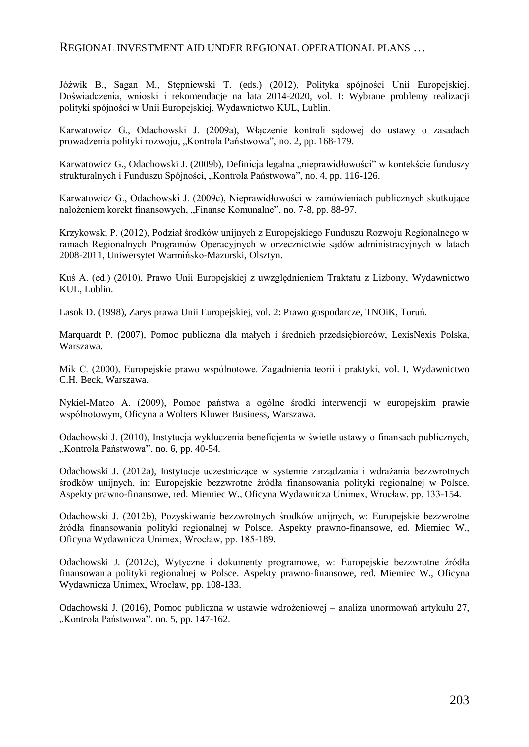### REGIONAL INVESTMENT AID UNDER REGIONAL OPERATIONAL PLANS …

Jóźwik B., Sagan M., Stępniewski T. (eds.) (2012), Polityka spójności Unii Europejskiej. Doświadczenia, wnioski i rekomendacje na lata 2014-2020, vol. I: Wybrane problemy realizacji polityki spójności w Unii Europejskiej, Wydawnictwo KUL, Lublin.

Karwatowicz G., Odachowski J. (2009a), Włączenie kontroli sądowej do ustawy o zasadach prowadzenia polityki rozwoju, "Kontrola Państwowa", no. 2, pp. 168-179.

Karwatowicz G., Odachowski J. (2009b), Definicja legalna "nieprawidłowości" w kontekście funduszy strukturalnych i Funduszu Spójności, "Kontrola Państwowa", no. 4, pp. 116-126.

Karwatowicz G., Odachowski J. (2009c), Nieprawidłowości w zamówieniach publicznych skutkujące nałożeniem korekt finansowych, "Finanse Komunalne", no. 7-8, pp. 88-97.

Krzykowski P. (2012), Podział środków unijnych z Europejskiego Funduszu Rozwoju Regionalnego w ramach Regionalnych Programów Operacyjnych w orzecznictwie sądów administracyjnych w latach 2008-2011, Uniwersytet Warmińsko-Mazurski, Olsztyn.

Kuś A. (ed.) (2010), Prawo Unii Europejskiej z uwzględnieniem Traktatu z Lizbony, Wydawnictwo KUL, Lublin.

Lasok D. (1998), Zarys prawa Unii Europejskiej, vol. 2: Prawo gospodarcze, TNOiK, Toruń.

Marquardt P. (2007), Pomoc publiczna dla małych i średnich przedsiębiorców, LexisNexis Polska, Warszawa.

Mik C. (2000), Europejskie prawo wspólnotowe. Zagadnienia teorii i praktyki, vol. I, Wydawnictwo C.H. Beck, Warszawa.

Nykiel-Mateo A. (2009), Pomoc państwa a ogólne środki interwencji w europejskim prawie wspólnotowym, Oficyna a Wolters Kluwer Business, Warszawa.

Odachowski J. (2010), Instytucja wykluczenia beneficjenta w świetle ustawy o finansach publicznych, "Kontrola Państwowa", no. 6, pp. 40-54.

Odachowski J. (2012a), Instytucje uczestniczące w systemie zarządzania i wdrażania bezzwrotnych środków unijnych, in: Europejskie bezzwrotne źródła finansowania polityki regionalnej w Polsce. Aspekty prawno-finansowe, red. Miemiec W., Oficyna Wydawnicza Unimex, Wrocław, pp. 133-154.

Odachowski J. (2012b), Pozyskiwanie bezzwrotnych środków unijnych, w: Europejskie bezzwrotne źródła finansowania polityki regionalnej w Polsce. Aspekty prawno-finansowe, ed. Miemiec W., Oficyna Wydawnicza Unimex, Wrocław, pp. 185-189.

Odachowski J. (2012c), Wytyczne i dokumenty programowe, w: Europejskie bezzwrotne źródła finansowania polityki regionalnej w Polsce. Aspekty prawno-finansowe, red. Miemiec W., Oficyna Wydawnicza Unimex, Wrocław, pp. 108-133.

Odachowski J. (2016), Pomoc publiczna w ustawie wdrożeniowej – analiza unormowań artykułu 27, "Kontrola Państwowa", no. 5, pp. 147-162.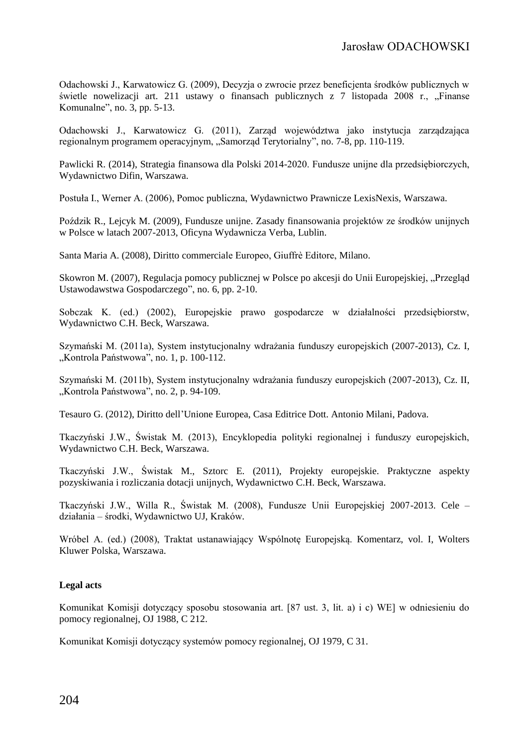Odachowski J., Karwatowicz G. (2009), Decyzja o zwrocie przez beneficjenta środków publicznych w świetle nowelizacji art. 211 ustawy o finansach publicznych z 7 listopada 2008 r., "Finanse Komunalne", no. 3, pp. 5-13.

Odachowski J., Karwatowicz G. (2011), Zarząd województwa jako instytucja zarządzająca regionalnym programem operacyjnym, "Samorząd Terytorialny", no. 7-8, pp. 110-119.

Pawlicki R. (2014), Strategia finansowa dla Polski 2014-2020. Fundusze unijne dla przedsiębiorczych, Wydawnictwo Difin, Warszawa.

Postuła I., Werner A. (2006), Pomoc publiczna, Wydawnictwo Prawnicze LexisNexis, Warszawa.

Poździk R., Lejcyk M. (2009), Fundusze unijne. Zasady finansowania projektów ze środków unijnych w Polsce w latach 2007-2013, Oficyna Wydawnicza Verba, Lublin.

Santa Maria A. (2008), Diritto commerciale Europeo, Giuffrè Editore, Milano.

Skowron M. (2007), Regulacja pomocy publicznej w Polsce po akcesji do Unii Europejskiej, "Przegląd Ustawodawstwa Gospodarczego", no. 6, pp. 2-10.

Sobczak K. (ed.) (2002), Europejskie prawo gospodarcze w działalności przedsiębiorstw, Wydawnictwo C.H. Beck, Warszawa.

Szymański M. (2011a), System instytucjonalny wdrażania funduszy europejskich (2007-2013), Cz. I, "Kontrola Państwowa", no. 1, p. 100-112.

Szymański M. (2011b), System instytucjonalny wdrażania funduszy europejskich (2007-2013), Cz. II, "Kontrola Państwowa", no. 2, p. 94-109.

Tesauro G. (2012), Diritto dell'Unione Europea, Casa Editrice Dott. Antonio Milani, Padova.

Tkaczyński J.W., Świstak M. (2013), Encyklopedia polityki regionalnej i funduszy europejskich, Wydawnictwo C.H. Beck, Warszawa.

Tkaczyński J.W., Świstak M., Sztorc E. (2011), Projekty europejskie. Praktyczne aspekty pozyskiwania i rozliczania dotacji unijnych, Wydawnictwo C.H. Beck, Warszawa.

Tkaczyński J.W., Willa R., Świstak M. (2008), Fundusze Unii Europejskiej 2007-2013. Cele – działania – środki, Wydawnictwo UJ, Kraków.

Wróbel A. (ed.) (2008), Traktat ustanawiający Wspólnotę Europejską. Komentarz, vol. I, Wolters Kluwer Polska, Warszawa.

#### **Legal acts**

Komunikat Komisji dotyczący sposobu stosowania art. [87 ust. 3, lit. a) i c) WE] w odniesieniu do pomocy regionalnej, OJ 1988, C 212.

Komunikat Komisji dotyczący systemów pomocy regionalnej, OJ 1979, C 31.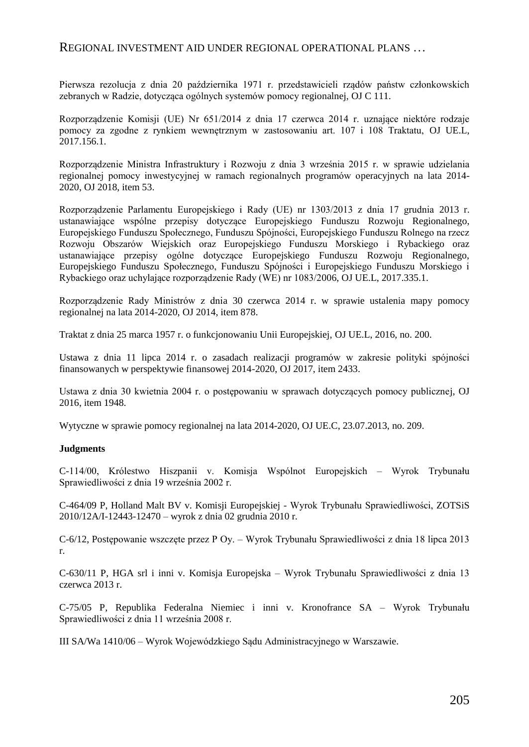### REGIONAL INVESTMENT AID UNDER REGIONAL OPERATIONAL PLANS …

Pierwsza rezolucja z dnia 20 października 1971 r. przedstawicieli rządów państw członkowskich zebranych w Radzie, dotycząca ogólnych systemów pomocy regionalnej, OJ C 111.

Rozporządzenie Komisji (UE) Nr 651/2014 z dnia 17 czerwca 2014 r. uznające niektóre rodzaje pomocy za zgodne z rynkiem wewnętrznym w zastosowaniu art. 107 i 108 Traktatu, OJ UE.L, 2017.156.1.

Rozporządzenie Ministra Infrastruktury i Rozwoju z dnia 3 września 2015 r. w sprawie udzielania regionalnej pomocy inwestycyjnej w ramach regionalnych programów operacyjnych na lata 2014- 2020, OJ 2018, item 53.

Rozporządzenie Parlamentu Europejskiego i Rady (UE) nr 1303/2013 z dnia 17 grudnia 2013 r. ustanawiające wspólne przepisy dotyczące Europejskiego Funduszu Rozwoju Regionalnego, Europejskiego Funduszu Społecznego, Funduszu Spójności, Europejskiego Funduszu Rolnego na rzecz Rozwoju Obszarów Wiejskich oraz Europejskiego Funduszu Morskiego i Rybackiego oraz ustanawiające przepisy ogólne dotyczące Europejskiego Funduszu Rozwoju Regionalnego, Europejskiego Funduszu Społecznego, Funduszu Spójności i Europejskiego Funduszu Morskiego i Rybackiego oraz uchylające rozporządzenie Rady (WE) nr 1083/2006, OJ UE.L, 2017.335.1.

Rozporządzenie Rady Ministrów z dnia 30 czerwca 2014 r. w sprawie ustalenia mapy pomocy regionalnej na lata 2014-2020, OJ 2014, item 878.

Traktat z dnia 25 marca 1957 r. o funkcjonowaniu Unii Europejskiej, OJ UE.L, 2016, no. 200.

Ustawa z dnia 11 lipca 2014 r. o zasadach realizacji programów w zakresie polityki spójności finansowanych w perspektywie finansowej 2014-2020, OJ 2017, item 2433.

Ustawa z dnia 30 kwietnia 2004 r. o postępowaniu w sprawach dotyczących pomocy publicznej, OJ 2016, item 1948.

Wytyczne w sprawie pomocy regionalnej na lata 2014-2020, OJ UE.C, 23.07.2013, no. 209.

#### **Judgments**

C-114/00, Królestwo Hiszpanii v. Komisja Wspólnot Europejskich – Wyrok Trybunału Sprawiedliwości z dnia 19 września 2002 r.

C-464/09 P, Holland Malt BV v. Komisji Europejskiej - Wyrok Trybunału Sprawiedliwości, ZOTSiS 2010/12A/I-12443-12470 – wyrok z dnia 02 grudnia 2010 r.

C-6/12, Postępowanie wszczęte przez P Oy. – Wyrok Trybunału Sprawiedliwości z dnia 18 lipca 2013 r.

C-630/11 P, HGA srl i inni v. Komisja Europejska – Wyrok Trybunału Sprawiedliwości z dnia 13 czerwca 2013 r.

C-75/05 P, Republika Federalna Niemiec i inni v. Kronofrance SA – Wyrok Trybunału Sprawiedliwości z dnia 11 września 2008 r.

III SA/Wa 1410/06 – Wyrok Wojewódzkiego Sądu Administracyjnego w Warszawie.